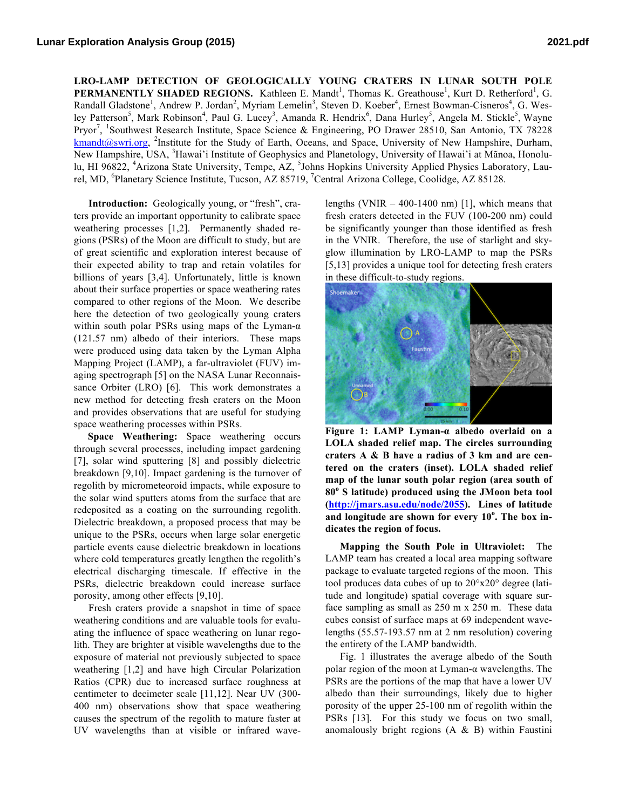**LRO-LAMP DETECTION OF GEOLOGICALLY YOUNG CRATERS IN LUNAR SOUTH POLE PERMANENTLY SHADED REGIONS.** Kathleen E. Mandt<sup>1</sup>, Thomas K. Greathouse<sup>1</sup>, Kurt D. Retherford<sup>1</sup>, G. Randall Gladstone<sup>1</sup>, Andrew P. Jordan<sup>2</sup>, Myriam Lemelin<sup>3</sup>, Steven D. Koeber<sup>4</sup>, Ernest Bowman-Cisneros<sup>4</sup>, G. Wesley Patterson<sup>5</sup>, Mark Robinson<sup>4</sup>, Paul G. Lucey<sup>3</sup>, Amanda R. Hendrix<sup>6</sup>, Dana Hurley<sup>5</sup>, Angela M. Stickle<sup>5</sup>, Wayne Pryor<sup>7</sup>, <sup>1</sup>Southwest Research Institute, Space Science & Engineering, PO Drawer 28510, San Antonio, TX 78228 kmandt@swri.org, <sup>2</sup>Institute for the Study of Earth, Oceans, and Space, University of New Hampshire, Durham, New Hampshire, USA, <sup>3</sup>Hawai'i Institute of Geophysics and Planetology, University of Hawai'i at Mãnoa, Honolulu, HI 96822, <sup>4</sup>Arizona State University, Tempe, AZ, <sup>5</sup>Johns Hopkins University Applied Physics Laboratory, Laurel, MD, <sup>6</sup>Planetary Science Institute, Tucson, AZ 85719, <sup>7</sup>Central Arizona College, Coolidge, AZ 85128.

**Introduction:** Geologically young, or "fresh", craters provide an important opportunity to calibrate space weathering processes [1,2]. Permanently shaded regions (PSRs) of the Moon are difficult to study, but are of great scientific and exploration interest because of their expected ability to trap and retain volatiles for billions of years [3,4]. Unfortunately, little is known about their surface properties or space weathering rates compared to other regions of the Moon. We describe here the detection of two geologically young craters within south polar PSRs using maps of the Lyman- $\alpha$ (121.57 nm) albedo of their interiors. These maps were produced using data taken by the Lyman Alpha Mapping Project (LAMP), a far-ultraviolet (FUV) imaging spectrograph [5] on the NASA Lunar Reconnaissance Orbiter (LRO) [6]. This work demonstrates a new method for detecting fresh craters on the Moon and provides observations that are useful for studying space weathering processes within PSRs.

**Space Weathering:** Space weathering occurs through several processes, including impact gardening [7], solar wind sputtering [8] and possibly dielectric breakdown [9,10]. Impact gardening is the turnover of regolith by micrometeoroid impacts, while exposure to the solar wind sputters atoms from the surface that are redeposited as a coating on the surrounding regolith. Dielectric breakdown, a proposed process that may be unique to the PSRs, occurs when large solar energetic particle events cause dielectric breakdown in locations where cold temperatures greatly lengthen the regolith's electrical discharging timescale. If effective in the PSRs, dielectric breakdown could increase surface porosity, among other effects [9,10].

Fresh craters provide a snapshot in time of space weathering conditions and are valuable tools for evaluating the influence of space weathering on lunar regolith. They are brighter at visible wavelengths due to the exposure of material not previously subjected to space weathering [1,2] and have high Circular Polarization Ratios (CPR) due to increased surface roughness at centimeter to decimeter scale [11,12]. Near UV (300- 400 nm) observations show that space weathering causes the spectrum of the regolith to mature faster at UV wavelengths than at visible or infrared wavelengths (VNIR  $-$  400-1400 nm) [1], which means that fresh craters detected in the FUV (100-200 nm) could be significantly younger than those identified as fresh in the VNIR. Therefore, the use of starlight and skyglow illumination by LRO-LAMP to map the PSRs [5,13] provides a unique tool for detecting fresh craters in these difficult-to-study regions.



**Figure 1: LAMP Lyman-α albedo overlaid on a LOLA shaded relief map. The circles surrounding craters A & B have a radius of 3 km and are centered on the craters (inset). LOLA shaded relief map of the lunar south polar region (area south of 80<sup>o</sup> S latitude) produced using the JMoon beta tool (http://jmars.asu.edu/node/2055). Lines of latitude and longitude are shown for every 10<sup>o</sup> . The box indicates the region of focus.**

**Mapping the South Pole in Ultraviolet:** The LAMP team has created a local area mapping software package to evaluate targeted regions of the moon. This tool produces data cubes of up to 20°x20° degree (latitude and longitude) spatial coverage with square surface sampling as small as 250 m x 250 m. These data cubes consist of surface maps at 69 independent wavelengths (55.57-193.57 nm at 2 nm resolution) covering the entirety of the LAMP bandwidth.

Fig. 1 illustrates the average albedo of the South polar region of the moon at Lyman-α wavelengths. The PSRs are the portions of the map that have a lower UV albedo than their surroundings, likely due to higher porosity of the upper 25-100 nm of regolith within the PSRs [13]. For this study we focus on two small, anomalously bright regions (A & B) within Faustini